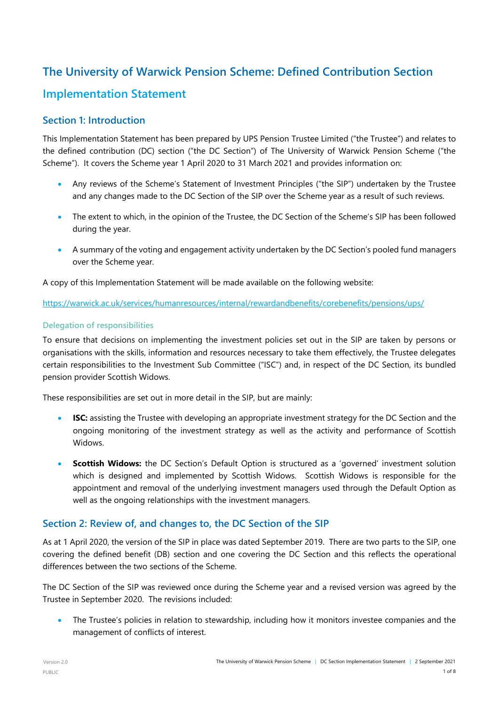# **The University of Warwick Pension Scheme: Defined Contribution Section Implementation Statement**

## **Section 1: Introduction**

This Implementation Statement has been prepared by UPS Pension Trustee Limited ("the Trustee") and relates to the defined contribution (DC) section ("the DC Section") of The University of Warwick Pension Scheme ("the Scheme"). It covers the Scheme year 1 April 2020 to 31 March 2021 and provides information on:

- Any reviews of the Scheme's Statement of Investment Principles ("the SIP") undertaken by the Trustee and any changes made to the DC Section of the SIP over the Scheme year as a result of such reviews.
- The extent to which, in the opinion of the Trustee, the DC Section of the Scheme's SIP has been followed during the year.
- A summary of the voting and engagement activity undertaken by the DC Section's pooled fund managers over the Scheme year.

A copy of this Implementation Statement will be made available on the following website:

<https://warwick.ac.uk/services/humanresources/internal/rewardandbenefits/corebenefits/pensions/ups/>

#### **Delegation of responsibilities**

To ensure that decisions on implementing the investment policies set out in the SIP are taken by persons or organisations with the skills, information and resources necessary to take them effectively, the Trustee delegates certain responsibilities to the Investment Sub Committee ("ISC") and, in respect of the DC Section, its bundled pension provider Scottish Widows.

These responsibilities are set out in more detail in the SIP, but are mainly:

- **ISC:** assisting the Trustee with developing an appropriate investment strategy for the DC Section and the ongoing monitoring of the investment strategy as well as the activity and performance of Scottish Widows.
- **Scottish Widows:** the DC Section's Default Option is structured as a 'governed' investment solution which is designed and implemented by Scottish Widows. Scottish Widows is responsible for the appointment and removal of the underlying investment managers used through the Default Option as well as the ongoing relationships with the investment managers.

## **Section 2: Review of, and changes to, the DC Section of the SIP**

As at 1 April 2020, the version of the SIP in place was dated September 2019. There are two parts to the SIP, one covering the defined benefit (DB) section and one covering the DC Section and this reflects the operational differences between the two sections of the Scheme.

The DC Section of the SIP was reviewed once during the Scheme year and a revised version was agreed by the Trustee in September 2020. The revisions included:

• The Trustee's policies in relation to stewardship, including how it monitors investee companies and the management of conflicts of interest.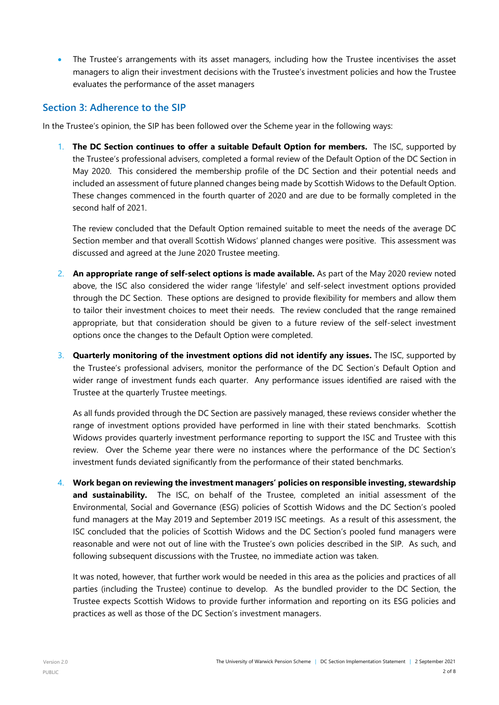The Trustee's arrangements with its asset managers, including how the Trustee incentivises the asset managers to align their investment decisions with the Trustee's investment policies and how the Trustee evaluates the performance of the asset managers

#### **Section 3: Adherence to the SIP**

In the Trustee's opinion, the SIP has been followed over the Scheme year in the following ways:

1. **The DC Section continues to offer a suitable Default Option for members.** The ISC, supported by the Trustee's professional advisers, completed a formal review of the Default Option of the DC Section in May 2020. This considered the membership profile of the DC Section and their potential needs and included an assessment of future planned changes being made by Scottish Widows to the Default Option. These changes commenced in the fourth quarter of 2020 and are due to be formally completed in the second half of 2021.

The review concluded that the Default Option remained suitable to meet the needs of the average DC Section member and that overall Scottish Widows' planned changes were positive. This assessment was discussed and agreed at the June 2020 Trustee meeting.

- 2. **An appropriate range of self-select options is made available.** As part of the May 2020 review noted above, the ISC also considered the wider range 'lifestyle' and self-select investment options provided through the DC Section. These options are designed to provide flexibility for members and allow them to tailor their investment choices to meet their needs. The review concluded that the range remained appropriate, but that consideration should be given to a future review of the self-select investment options once the changes to the Default Option were completed.
- 3. **Quarterly monitoring of the investment options did not identify any issues.** The ISC, supported by the Trustee's professional advisers, monitor the performance of the DC Section's Default Option and wider range of investment funds each quarter. Any performance issues identified are raised with the Trustee at the quarterly Trustee meetings.

As all funds provided through the DC Section are passively managed, these reviews consider whether the range of investment options provided have performed in line with their stated benchmarks. Scottish Widows provides quarterly investment performance reporting to support the ISC and Trustee with this review. Over the Scheme year there were no instances where the performance of the DC Section's investment funds deviated significantly from the performance of their stated benchmarks.

4. **Work began on reviewing the investment managers' policies on responsible investing, stewardship and sustainability.** The ISC, on behalf of the Trustee, completed an initial assessment of the Environmental, Social and Governance (ESG) policies of Scottish Widows and the DC Section's pooled fund managers at the May 2019 and September 2019 ISC meetings. As a result of this assessment, the ISC concluded that the policies of Scottish Widows and the DC Section's pooled fund managers were reasonable and were not out of line with the Trustee's own policies described in the SIP. As such, and following subsequent discussions with the Trustee, no immediate action was taken.

It was noted, however, that further work would be needed in this area as the policies and practices of all parties (including the Trustee) continue to develop. As the bundled provider to the DC Section, the Trustee expects Scottish Widows to provide further information and reporting on its ESG policies and practices as well as those of the DC Section's investment managers.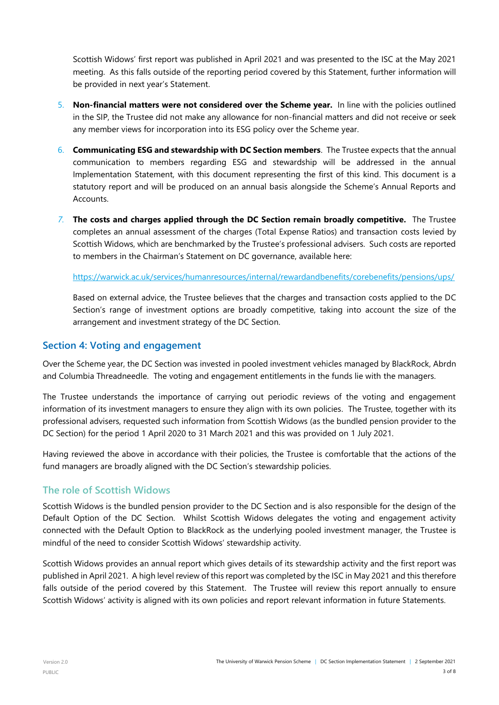Scottish Widows' first report was published in April 2021 and was presented to the ISC at the May 2021 meeting. As this falls outside of the reporting period covered by this Statement, further information will be provided in next year's Statement.

- 5. **Non-financial matters were not considered over the Scheme year.** In line with the policies outlined in the SIP, the Trustee did not make any allowance for non-financial matters and did not receive or seek any member views for incorporation into its ESG policy over the Scheme year.
- 6. **Communicating ESG and stewardship with DC Section members**. The Trustee expects that the annual communication to members regarding ESG and stewardship will be addressed in the annual Implementation Statement, with this document representing the first of this kind. This document is a statutory report and will be produced on an annual basis alongside the Scheme's Annual Reports and **Accounts**
- *7.* **The costs and charges applied through the DC Section remain broadly competitive.** The Trustee completes an annual assessment of the charges (Total Expense Ratios) and transaction costs levied by Scottish Widows, which are benchmarked by the Trustee's professional advisers. Such costs are reported to members in the Chairman's Statement on DC governance, available here:

<https://warwick.ac.uk/services/humanresources/internal/rewardandbenefits/corebenefits/pensions/ups/>

Based on external advice, the Trustee believes that the charges and transaction costs applied to the DC Section's range of investment options are broadly competitive, taking into account the size of the arrangement and investment strategy of the DC Section.

#### **Section 4: Voting and engagement**

Over the Scheme year, the DC Section was invested in pooled investment vehicles managed by BlackRock, Abrdn and Columbia Threadneedle. The voting and engagement entitlements in the funds lie with the managers.

The Trustee understands the importance of carrying out periodic reviews of the voting and engagement information of its investment managers to ensure they align with its own policies. The Trustee, together with its professional advisers, requested such information from Scottish Widows (as the bundled pension provider to the DC Section) for the period 1 April 2020 to 31 March 2021 and this was provided on 1 July 2021.

Having reviewed the above in accordance with their policies, the Trustee is comfortable that the actions of the fund managers are broadly aligned with the DC Section's stewardship policies.

#### **The role of Scottish Widows**

Scottish Widows is the bundled pension provider to the DC Section and is also responsible for the design of the Default Option of the DC Section. Whilst Scottish Widows delegates the voting and engagement activity connected with the Default Option to BlackRock as the underlying pooled investment manager, the Trustee is mindful of the need to consider Scottish Widows' stewardship activity.

Scottish Widows provides an annual report which gives details of its stewardship activity and the first report was published in April 2021. A high level review of this report was completed by the ISC in May 2021 and this therefore falls outside of the period covered by this Statement. The Trustee will review this report annually to ensure Scottish Widows' activity is aligned with its own policies and report relevant information in future Statements.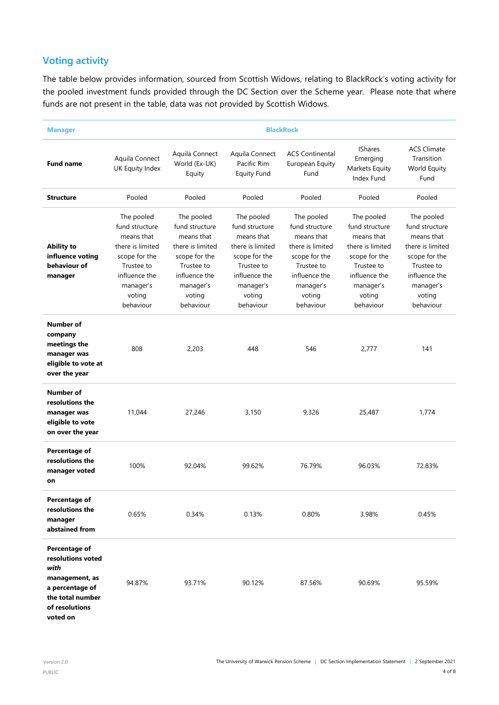# **Voting activity**

The table below provides information, sourced from Scottish Widows, relating to BlackRock's voting activity for the pooled investment funds provided through the DC Section over the Scheme year. Please note that where funds are not present in the table, data was not provided by Scottish Widows.

| <b>Manager</b>                                                                                                                    | <b>BlackRock</b>                                                                                                                                   |                                                                                                                                                    |                                                                                                                                                    |                                                                                                                                                    |                                                                                                                                                    |                                                                                                                                                    |
|-----------------------------------------------------------------------------------------------------------------------------------|----------------------------------------------------------------------------------------------------------------------------------------------------|----------------------------------------------------------------------------------------------------------------------------------------------------|----------------------------------------------------------------------------------------------------------------------------------------------------|----------------------------------------------------------------------------------------------------------------------------------------------------|----------------------------------------------------------------------------------------------------------------------------------------------------|----------------------------------------------------------------------------------------------------------------------------------------------------|
| <b>Fund name</b>                                                                                                                  | Aquila Connect<br>UK Equity Index                                                                                                                  | Aquila Connect<br>World (Ex-UK)<br>Equity                                                                                                          | Aquila Connect<br>Pacific Rim<br><b>Equity Fund</b>                                                                                                | <b>ACS Continental</b><br>European Equity<br>Fund                                                                                                  | <b>IShares</b><br>Emerging<br>Markets Equity<br>Index Fund                                                                                         | <b>ACS Climate</b><br>Transition<br>World Equity<br>Fund                                                                                           |
| <b>Structure</b>                                                                                                                  | Pooled                                                                                                                                             | Pooled                                                                                                                                             | Pooled                                                                                                                                             | Pooled                                                                                                                                             | Pooled                                                                                                                                             | Pooled                                                                                                                                             |
| <b>Ability to</b><br>influence voting<br>behaviour of<br>manager                                                                  | The pooled<br>fund structure<br>means that<br>there is limited<br>scope for the<br>Trustee to<br>influence the<br>manager's<br>voting<br>behaviour | The pooled<br>fund structure<br>means that<br>there is limited<br>scope for the<br>Trustee to<br>influence the<br>manager's<br>voting<br>behaviour | The pooled<br>fund structure<br>means that<br>there is limited<br>scope for the<br>Trustee to<br>influence the<br>manager's<br>voting<br>behaviour | The pooled<br>fund structure<br>means that<br>there is limited<br>scope for the<br>Trustee to<br>influence the<br>manager's<br>voting<br>behaviour | The pooled<br>fund structure<br>means that<br>there is limited<br>scope for the<br>Trustee to<br>influence the<br>manager's<br>voting<br>behaviour | The pooled<br>fund structure<br>means that<br>there is limited<br>scope for the<br>Trustee to<br>influence the<br>manager's<br>voting<br>behaviour |
| <b>Number of</b><br>company<br>meetings the<br>manager was<br>eligible to vote at<br>over the year                                | 808                                                                                                                                                | 2,203                                                                                                                                              | 448                                                                                                                                                | 546                                                                                                                                                | 2,777                                                                                                                                              | 141                                                                                                                                                |
| Number of<br>resolutions the<br>manager was<br>eligible to vote<br>on over the year                                               | 11,044                                                                                                                                             | 27,246                                                                                                                                             | 3,150                                                                                                                                              | 9,326                                                                                                                                              | 25,487                                                                                                                                             | 1,774                                                                                                                                              |
| Percentage of<br>resolutions the<br>manager voted<br>on                                                                           | 100%                                                                                                                                               | 92.04%                                                                                                                                             | 99.62%                                                                                                                                             | 76.79%                                                                                                                                             | 96.03%                                                                                                                                             | 72.83%                                                                                                                                             |
| <b>Percentage of</b><br>resolutions the<br>manager<br>abstained from                                                              | 0.65%                                                                                                                                              | 0.34%                                                                                                                                              | 0.13%                                                                                                                                              | 0.80%                                                                                                                                              | 3.98%                                                                                                                                              | 0.45%                                                                                                                                              |
| Percentage of<br>resolutions voted<br>with<br>management, as<br>a percentage of<br>the total number<br>of resolutions<br>voted on | 94.87%                                                                                                                                             | 93.71%                                                                                                                                             | 90.12%                                                                                                                                             | 87.56%                                                                                                                                             | 90.69%                                                                                                                                             | 95.59%                                                                                                                                             |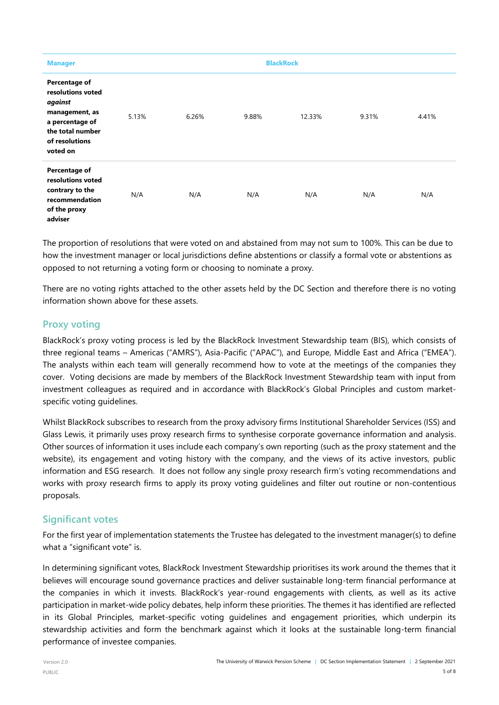| <b>Manager</b>                                                                                                                       |       | <b>BlackRock</b> |       |        |       |       |
|--------------------------------------------------------------------------------------------------------------------------------------|-------|------------------|-------|--------|-------|-------|
| Percentage of<br>resolutions voted<br>against<br>management, as<br>a percentage of<br>the total number<br>of resolutions<br>voted on | 5.13% | 6.26%            | 9.88% | 12.33% | 9.31% | 4.41% |
| Percentage of<br>resolutions voted<br>contrary to the<br>recommendation<br>of the proxy<br>adviser                                   | N/A   | N/A              | N/A   | N/A    | N/A   | N/A   |

The proportion of resolutions that were voted on and abstained from may not sum to 100%. This can be due to how the investment manager or local jurisdictions define abstentions or classify a formal vote or abstentions as opposed to not returning a voting form or choosing to nominate a proxy.

There are no voting rights attached to the other assets held by the DC Section and therefore there is no voting information shown above for these assets.

## **Proxy voting**

BlackRock's proxy voting process is led by the BlackRock Investment Stewardship team (BIS), which consists of three regional teams – Americas ("AMRS"), Asia-Pacific ("APAC"), and Europe, Middle East and Africa ("EMEA"). The analysts within each team will generally recommend how to vote at the meetings of the companies they cover. Voting decisions are made by members of the BlackRock Investment Stewardship team with input from investment colleagues as required and in accordance with [BlackRock's Global Principles](https://www.blackrock.com/corporate/literature/fact-sheet/blk-responsible-investment-engprinciples-global.pdf) and [custom market](https://www.blackrock.com/corporate/about-us/investment-stewardship#guidelines)[specific voting guidelines.](https://www.blackrock.com/corporate/about-us/investment-stewardship#guidelines)

Whilst BlackRock subscribes to research from the proxy advisory firms Institutional Shareholder Services (ISS) and Glass Lewis, it primarily uses proxy research firms to synthesise corporate governance information and analysis. Other sources of information it uses include each company's own reporting (such as the proxy statement and the website), its engagement and voting history with the company, and the views of its active investors, public information and ESG research. It does not follow any single proxy research firm's voting recommendations and works with proxy research firms to apply its proxy voting guidelines and filter out routine or non-contentious proposals.

## **Significant votes**

For the first year of implementation statements the Trustee has delegated to the investment manager(s) to define what a "significant vote" is.

In determining significant votes, BlackRock Investment Stewardship prioritises its work around the themes that it believes will encourage sound governance practices and deliver sustainable long-term financial performance at the companies in which it invests. BlackRock's year-round engagements with clients, as well as its active participation in market-wide policy debates, help inform these priorities. The themes it has identified are reflected in its Global Principles, market-specific voting guidelines and engagement priorities, which underpin its stewardship activities and form the benchmark against which it looks at the sustainable long-term financial performance of investee companies.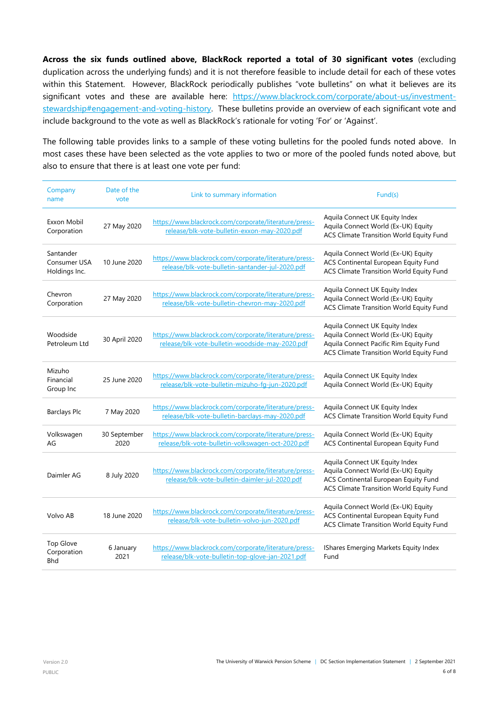**Across the six funds outlined above, BlackRock reported a total of 30 significant votes** (excluding duplication across the underlying funds) and it is not therefore feasible to include detail for each of these votes within this Statement. However, BlackRock periodically publishes "vote bulletins" on what it believes are its significant votes and these are available here: [https://www.blackrock.com/corporate/about-us/investment](https://www.blackrock.com/corporate/about-us/investment-stewardship#engagement-and-voting-history)[stewardship#engagement-and-voting-history.](https://www.blackrock.com/corporate/about-us/investment-stewardship#engagement-and-voting-history) These bulletins provide an overview of each significant vote and include background to the vote as well as BlackRock's rationale for voting 'For' or 'Against'.

The following table provides links to a sample of these voting bulletins for the pooled funds noted above. In most cases these have been selected as the vote applies to two or more of the pooled funds noted above, but also to ensure that there is at least one vote per fund:

| Company<br>name                               | Date of the<br>vote  | Link to summary information                                                                                | Fund(s)                                                                                                                                                            |  |
|-----------------------------------------------|----------------------|------------------------------------------------------------------------------------------------------------|--------------------------------------------------------------------------------------------------------------------------------------------------------------------|--|
| Exxon Mobil<br>Corporation                    | 27 May 2020          | https://www.blackrock.com/corporate/literature/press-<br>release/blk-vote-bulletin-exxon-may-2020.pdf      | Aquila Connect UK Equity Index<br>Aquila Connect World (Ex-UK) Equity<br>ACS Climate Transition World Equity Fund                                                  |  |
| Santander<br>Consumer USA<br>Holdings Inc.    | 10 June 2020         | https://www.blackrock.com/corporate/literature/press-<br>release/blk-vote-bulletin-santander-jul-2020.pdf  | Aquila Connect World (Ex-UK) Equity<br>ACS Continental European Equity Fund<br>ACS Climate Transition World Equity Fund                                            |  |
| Chevron<br>Corporation                        | 27 May 2020          | https://www.blackrock.com/corporate/literature/press-<br>release/blk-vote-bulletin-chevron-may-2020.pdf    | Aquila Connect UK Equity Index<br>Aquila Connect World (Ex-UK) Equity<br>ACS Climate Transition World Equity Fund                                                  |  |
| Woodside<br>Petroleum Ltd                     | 30 April 2020        | https://www.blackrock.com/corporate/literature/press-<br>release/blk-vote-bulletin-woodside-may-2020.pdf   | Aquila Connect UK Equity Index<br>Aquila Connect World (Ex-UK) Equity<br>Aquila Connect Pacific Rim Equity Fund<br><b>ACS Climate Transition World Equity Fund</b> |  |
| Mizuho<br>Financial<br>Group Inc              | 25 June 2020         | https://www.blackrock.com/corporate/literature/press-<br>release/blk-vote-bulletin-mizuho-fg-jun-2020.pdf  | Aquila Connect UK Equity Index<br>Aquila Connect World (Ex-UK) Equity                                                                                              |  |
| <b>Barclays Plc</b>                           | 7 May 2020           | https://www.blackrock.com/corporate/literature/press-<br>release/blk-vote-bulletin-barclays-may-2020.pdf   | Aquila Connect UK Equity Index<br>ACS Climate Transition World Equity Fund                                                                                         |  |
| Volkswagen<br>AG                              | 30 September<br>2020 | https://www.blackrock.com/corporate/literature/press-<br>release/blk-vote-bulletin-volkswagen-oct-2020.pdf | Aquila Connect World (Ex-UK) Equity<br>ACS Continental European Equity Fund                                                                                        |  |
| Daimler AG                                    | 8 July 2020          | https://www.blackrock.com/corporate/literature/press-<br>release/blk-vote-bulletin-daimler-jul-2020.pdf    | Aquila Connect UK Equity Index<br>Aquila Connect World (Ex-UK) Equity<br>ACS Continental European Equity Fund<br>ACS Climate Transition World Equity Fund          |  |
| Volvo AB                                      | 18 June 2020         | https://www.blackrock.com/corporate/literature/press-<br>release/blk-vote-bulletin-volvo-jun-2020.pdf      | Aquila Connect World (Ex-UK) Equity<br>ACS Continental European Equity Fund<br>ACS Climate Transition World Equity Fund                                            |  |
| <b>Top Glove</b><br>Corporation<br><b>Bhd</b> | 6 January<br>2021    | https://www.blackrock.com/corporate/literature/press-<br>release/blk-vote-bulletin-top-glove-jan-2021.pdf  | IShares Emerging Markets Equity Index<br>Fund                                                                                                                      |  |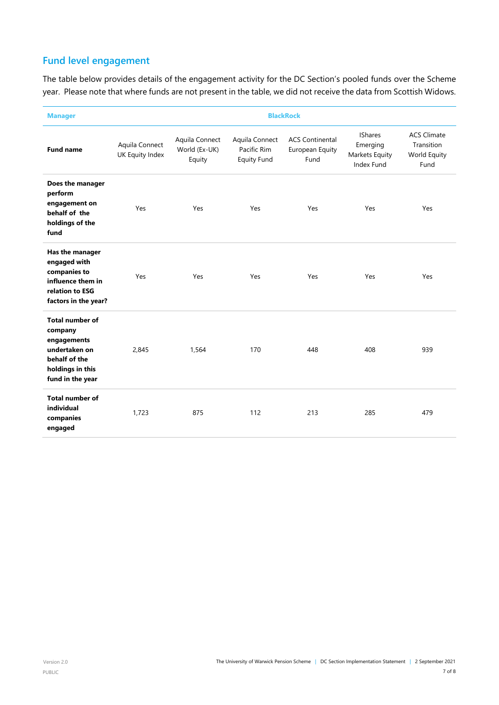# **Fund level engagement**

The table below provides details of the engagement activity for the DC Section's pooled funds over the Scheme year. Please note that where funds are not present in the table, we did not receive the data from Scottish Widows.

| <b>Manager</b>                                                                                                             | <b>BlackRock</b>                  |                                           |                                                     |                                                   |                                                            |                                                          |
|----------------------------------------------------------------------------------------------------------------------------|-----------------------------------|-------------------------------------------|-----------------------------------------------------|---------------------------------------------------|------------------------------------------------------------|----------------------------------------------------------|
| <b>Fund name</b>                                                                                                           | Aquila Connect<br>UK Equity Index | Aquila Connect<br>World (Ex-UK)<br>Equity | Aquila Connect<br>Pacific Rim<br><b>Equity Fund</b> | <b>ACS Continental</b><br>European Equity<br>Fund | <b>IShares</b><br>Emerging<br>Markets Equity<br>Index Fund | <b>ACS Climate</b><br>Transition<br>World Equity<br>Fund |
| Does the manager<br>perform<br>engagement on<br>behalf of the<br>holdings of the<br>fund                                   | Yes                               | Yes                                       | Yes                                                 | Yes                                               | Yes                                                        | Yes                                                      |
| Has the manager<br>engaged with<br>companies to<br>influence them in<br>relation to ESG<br>factors in the year?            | Yes                               | Yes                                       | Yes                                                 | Yes                                               | Yes                                                        | Yes                                                      |
| <b>Total number of</b><br>company<br>engagements<br>undertaken on<br>behalf of the<br>holdings in this<br>fund in the year | 2,845                             | 1,564                                     | 170                                                 | 448                                               | 408                                                        | 939                                                      |
| <b>Total number of</b><br>individual<br>companies<br>engaged                                                               | 1,723                             | 875                                       | 112                                                 | 213                                               | 285                                                        | 479                                                      |